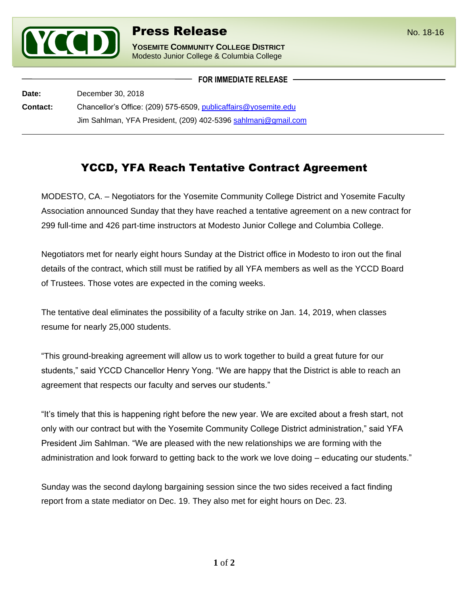

**YOSEMITE COMMUNITY COLLEGE DISTRICT** Modesto Junior College & Columbia College

**FOR IMMEDIATE RELEASE**

**Date:** December 30, 2018 **Contact:** Chancellor's Office: (209) 575-6509, [publicaffairs@yosemite.edu](mailto:publicaffairs@yosemite.edu) Jim Sahlman, YFA President, (209) 402-5396 [sahlmanj@gmail.com](mailto:sahlmanj@gmail.com)

## YCCD, YFA Reach Tentative Contract Agreement

MODESTO, CA. – Negotiators for the Yosemite Community College District and Yosemite Faculty Association announced Sunday that they have reached a tentative agreement on a new contract for 299 full-time and 426 part-time instructors at Modesto Junior College and Columbia College.

Negotiators met for nearly eight hours Sunday at the District office in Modesto to iron out the final details of the contract, which still must be ratified by all YFA members as well as the YCCD Board of Trustees. Those votes are expected in the coming weeks.

The tentative deal eliminates the possibility of a faculty strike on Jan. 14, 2019, when classes resume for nearly 25,000 students.

"This ground-breaking agreement will allow us to work together to build a great future for our students," said YCCD Chancellor Henry Yong. "We are happy that the District is able to reach an agreement that respects our faculty and serves our students."

"It's timely that this is happening right before the new year. We are excited about a fresh start, not only with our contract but with the Yosemite Community College District administration," said YFA President Jim Sahlman. "We are pleased with the new relationships we are forming with the administration and look forward to getting back to the work we love doing – educating our students."

Sunday was the second daylong bargaining session since the two sides received a fact finding report from a state mediator on Dec. 19. They also met for eight hours on Dec. 23.